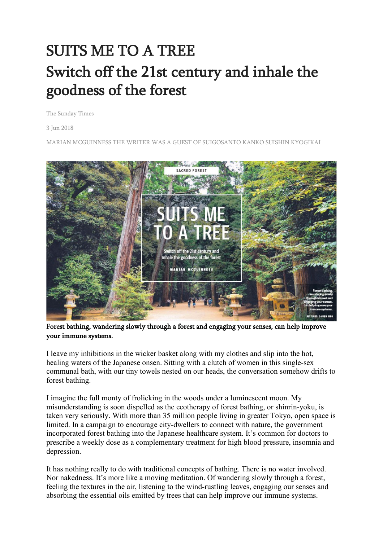## SUITS ME TO A TREE Switch off the 21st century and inhale the goodness of the forest

The Sunday Times

3 Jun 2018

MARIAN MCGUINNESS THE WRITER WAS A GUEST OF SUIGOSANTO KANKO SUISHIN KYOGIKAI



Forest bathing, wandering slowly through a forest and engaging your senses, can help improve your immune systems.

I leave my inhibitions in the wicker basket along with my clothes and slip into the hot, healing waters of the Japanese onsen. Sitting with a clutch of women in this single-sex communal bath, with our tiny towels nested on our heads, the conversation somehow drifts to forest bathing.

I imagine the full monty of frolicking in the woods under a luminescent moon. My misunderstanding is soon dispelled as the ecotherapy of forest bathing, or shinrin-yoku, is taken very seriously. With more than 35 million people living in greater Tokyo, open space is limited. In a campaign to encourage city-dwellers to connect with nature, the government incorporated forest bathing into the Japanese healthcare system. It's common for doctors to prescribe a weekly dose as a complementary treatment for high blood pressure, insomnia and depression.

It has nothing really to do with traditional concepts of bathing. There is no water involved. Nor nakedness. It's more like a moving meditation. Of wandering slowly through a forest, feeling the textures in the air, listening to the wind-rustling leaves, engaging our senses and absorbing the essential oils emitted by trees that can help improve our immune systems.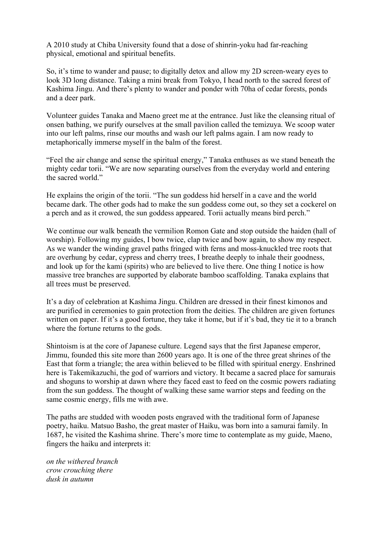A 2010 study at Chiba University found that a dose of shinrin-yoku had far-reaching physical, emotional and spiritual benefits.

So, it's time to wander and pause; to digitally detox and allow my 2D screen-weary eyes to look 3D long distance. Taking a mini break from Tokyo, I head north to the sacred forest of Kashima Jingu. And there's plenty to wander and ponder with 70ha of cedar forests, ponds and a deer park.

Volunteer guides Tanaka and Maeno greet me at the entrance. Just like the cleansing ritual of onsen bathing, we purify ourselves at the small pavilion called the temizuya. We scoop water into our left palms, rinse our mouths and wash our left palms again. I am now ready to metaphorically immerse myself in the balm of the forest.

"Feel the air change and sense the spiritual energy," Tanaka enthuses as we stand beneath the mighty cedar torii. "We are now separating ourselves from the everyday world and entering the sacred world."

He explains the origin of the torii. "The sun goddess hid herself in a cave and the world became dark. The other gods had to make the sun goddess come out, so they set a cockerel on a perch and as it crowed, the sun goddess appeared. Torii actually means bird perch."

We continue our walk beneath the vermilion Romon Gate and stop outside the haiden (hall of worship). Following my guides, I bow twice, clap twice and bow again, to show my respect. As we wander the winding gravel paths fringed with ferns and moss-knuckled tree roots that are overhung by cedar, cypress and cherry trees, I breathe deeply to inhale their goodness, and look up for the kami (spirits) who are believed to live there. One thing I notice is how massive tree branches are supported by elaborate bamboo scaffolding. Tanaka explains that all trees must be preserved.

It's a day of celebration at Kashima Jingu. Children are dressed in their finest kimonos and are purified in ceremonies to gain protection from the deities. The children are given fortunes written on paper. If it's a good fortune, they take it home, but if it's bad, they tie it to a branch where the fortune returns to the gods.

Shintoism is at the core of Japanese culture. Legend says that the first Japanese emperor, Jimmu, founded this site more than 2600 years ago. It is one of the three great shrines of the East that form a triangle; the area within believed to be filled with spiritual energy. Enshrined here is Takemikazuchi, the god of warriors and victory. It became a sacred place for samurais and shoguns to worship at dawn where they faced east to feed on the cosmic powers radiating from the sun goddess. The thought of walking these same warrior steps and feeding on the same cosmic energy, fills me with awe.

The paths are studded with wooden posts engraved with the traditional form of Japanese poetry, haiku. Matsuo Basho, the great master of Haiku, was born into a samurai family. In 1687, he visited the Kashima shrine. There's more time to contemplate as my guide, Maeno, fingers the haiku and interprets it:

*on the withered branch crow crouching there dusk in autumn*